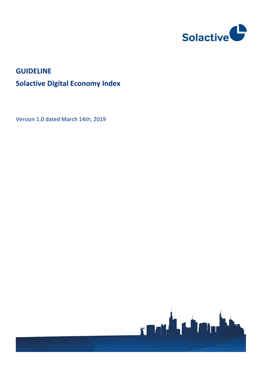

# **GUIDELINE Solactive Digital Economy Index**

Version 1.0 dated March 14th, 2019

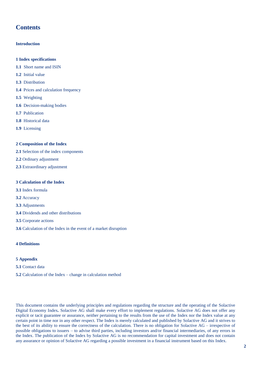# **Contents**

### **Introduction**

- **1 Index specifications**
- **1.1** Short name and ISIN
- **1.2** Initial value
- **1.3** Distribution
- **1.4** Prices and calculation frequency
- **1.5** Weighting
- **1.6** Decision-making bodies
- **1.7** Publication
- **1.8** Historical data
- **1.9** Licensing

### **2 Composition of the Index**

- **2.1** Selection of the index components
- **2.2** Ordinary adjustment
- **2.3** Extraordinary adjustment

### **3 Calculation of the Index**

- **3.1** Index formula
- **3.2** Accuracy
- **3.3** Adjustments
- **3.4** Dividends and other distributions
- **3.5** Corporate actions
- **3.6** Calculation of the Index in the event of a market disruption

### **4 Definitions**

### **5 Appendix**

- **5.1** Contact data
- **5.2** Calculation of the Index change in calculation method

This document contains the underlying principles and regulations regarding the structure and the operating of the Solactive Digital Economy Index*.* Solactive AG shall make every effort to implement regulations. Solactive AG does not offer any explicit or tacit guarantee or assurance, neither pertaining to the results from the use of the Index nor the Index value at any certain point in time nor in any other respect. The Index is merely calculated and published by Solactive AG and it strives to the best of its ability to ensure the correctness of the calculation. There is no obligation for Solactive AG – irrespective of possible obligations to issuers – to advise third parties, including investors and/or financial intermediaries, of any errors in the Index. The publication of the Index by Solactive AG is no recommendation for capital investment and does not contain any assurance or opinion of Solactive AG regarding a possible investment in a financial instrument based on this Index.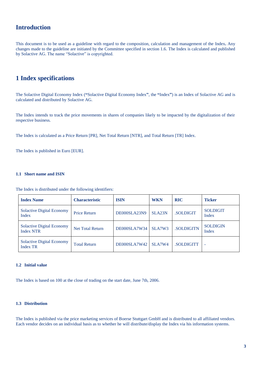# **Introduction**

This document is to be used as a guideline with regard to the composition, calculation and management of the Index**.** Any changes made to the guideline are initiated by the Committee specified in section 1.6. The Index is calculated and published by Solactive AG. The name "Solactive" is copyrighted.

### **1 Index specifications**

The Solactive Digital Economy Index (**"**Solactive Digital Economy Index**"**, the **"**Index**"**) is an Index of Solactive AG and is calculated and distributed by Solactive AG.

The Index intends to track the price movements in shares of companies likely to be impacted by the digitalization of their respective business.

The Index is calculated as a Price Return [PR], Net Total Return [NTR], and Total Return [TR] Index.

The Index is published in Euro [EUR].

### **1.1 Short name and ISIN**

The Index is distributed under the following identifiers:

| <b>Index Name</b>                                    | <b>Characteristic</b>   | <b>ISIN</b>  | <b>WKN</b>          | <b>RIC</b>       | <b>Ticker</b>            |
|------------------------------------------------------|-------------------------|--------------|---------------------|------------------|--------------------------|
| <b>Solactive Digital Economy</b><br>Index            | <b>Price Return</b>     | DE000SLA23N9 | SLA <sub>23</sub> N | <b>SOLDIGIT</b>  | <b>SOLDIGIT</b><br>Index |
| <b>Solactive Digital Economy</b><br><b>Index NTR</b> | <b>Net Total Return</b> | DE000SLA7W34 | SLA7W3              | <b>SOLDIGITN</b> | <b>SOLDIGIN</b><br>Index |
| <b>Solactive Digital Economy</b><br><b>Index TR</b>  | <b>Total Return</b>     | DE000SLA7W42 | SLA7W4              | <b>SOLDIGITT</b> | ٠                        |

### **1.2 Initial value**

The Index is based on 100 at the close of trading on the start date, June 7th, 2006.

### **1.3 Distribution**

The Index is published via the price marketing services of Boerse Stuttgart GmbH and is distributed to all affiliated vendors. Each vendor decides on an individual basis as to whether he will distribute/display the Index via his information systems.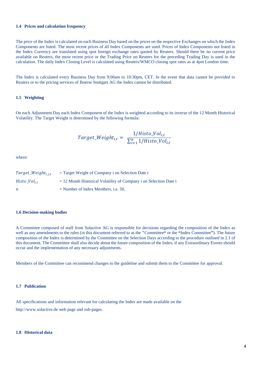### **1.4 Prices and calculation frequency**

The price of the Index is calculated on each Business Day based on the prices on the respective Exchanges on which the Index Components are listed. The most recent prices of all Index Components are used. Prices of Index Components not listed in the Index Currency are translated using spot foreign exchange rates quoted by Reuters. Should there be no current price available on Reuters, the most recent price or the Trading Price on Reuters for the preceding Trading Day is used in the calculation. The daily Index Closing Level is calculated using Reuters/WMCO closing spot rates as at 4pm London time.

The Index is calculated every Business Day from 9:00am to 10:30pm, CET. In the event that data cannot be provided to Reuters or to the pricing services of Boerse Stuttgart AG the Index cannot be distributed.

### **1.5 Weighting**

On each Adjustment Day each Index Component of the Index is weighted according to its inverse of the 12 Month Historical Volatility. The Target Weight is determined by the following formula:

$$
Target\_Weight_{i,t} = \frac{1/Histo\_Vol_{i,t}}{\sum_{i=1}^{n} 1/Histo\_Vol_{i,t}}
$$

where:

| $Target\_Weight_{i,j,t}$ | $=$ Target Weight of Company i on Selection Date t                  |
|--------------------------|---------------------------------------------------------------------|
| $Histo_Vol_{i,t}$        | $= 12$ Month Historical Volatility of Company i on Selection Date t |
| $\boldsymbol{n}$         | $=$ Number of Index Members, i.e. 50.                               |

### **1.6 Decision-making bodies**

A Committee composed of staff from Solactive AG is responsible for decisions regarding the composition of the Index as well as any amendments to the rules (in this document referred to as the **"**Committee**"** or the **"**Index Committee**"**). The future composition of the Index is determined by the Committee on the Selection Days according to the procedure outlined in 2.1 of this document. The Committee shall also decide about the future composition of the Index*.* if any Extraordinary Events should occur and the implementation of any necessary adjustments.

Members of the Committee can recommend changes to the guideline and submit them to the Committee for approval.

### **1.7 Publication**

All specifications and information relevant for calculating the Index are made available on the http://www.solactive.de web page and sub-pages.

#### **1.8 Historical data**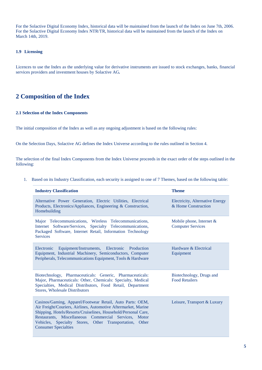For the Solactive Digital Economy Index, historical data will be maintained from the launch of the Index on June 7th, 2006. For the Solactive Digital Economy Index NTR/TR, historical data will be maintained from the launch of the Index on March 14th, 2019.

### **1.9 Licensing**

Licences to use the Index as the underlying value for derivative instruments are issued to stock exchanges, banks, financial services providers and investment houses by Solactive AG*.*

### **2 Composition of the Index**

### **2.1 Selection of the Index Components**

The initial composition of the Index as well as any ongoing adjustment is based on the following rules:

On the Selection Days, Solactive AG defines the Index Universe according to the rules outlined in Section 4.

The selection of the final Index Components from the Index Universe proceeds in the exact order of the steps outlined in the following:

1. Based on its Industry Classification, each security is assigned to one of 7 Themes, based on the following table:

| <b>Industry Classification</b>                                                                                                                                                                                                                                                                                                                   | <b>Theme</b>                                                  |
|--------------------------------------------------------------------------------------------------------------------------------------------------------------------------------------------------------------------------------------------------------------------------------------------------------------------------------------------------|---------------------------------------------------------------|
| Alternative Power Generation, Electric Utilities, Electrical<br>Products, Electronics/Appliances, Engineering & Construction,<br>Homebuilding                                                                                                                                                                                                    | <b>Electricity, Alternative Energy</b><br>& Home Construction |
| Major Telecommunications, Wireless Telecommunications,<br>Internet Software/Services, Specialty Telecommunications,<br>Packaged Software, Internet Retail, Information Technology<br><b>Services</b>                                                                                                                                             | Mobile phone, Internet $\&$<br><b>Computer Services</b>       |
| Electronic Equipment/Instruments, Electronic Production<br>Equipment, Industrial Machinery, Semiconductors, Computer<br>Peripherals, Telecommunications Equipment, Tools & Hardware                                                                                                                                                              | Hardware & Electrical<br>Equipment                            |
| Biotechnology, Pharmaceuticals: Generic, Pharmaceuticals:<br>Major, Pharmaceuticals: Other, Chemicals: Specialty, Medical<br>Specialties, Medical Distributors, Food Retail, Department<br><b>Stores, Wholesale Distributors</b>                                                                                                                 | Biotechnology, Drugs and<br><b>Food Retailers</b>             |
| Casinos/Gaming, Apparel/Footwear Retail, Auto Parts: OEM,<br>Air Freight/Couriers, Airlines, Automotive Aftermarket, Marine<br>Shipping, Hotels/Resorts/Cruiselines, Household/Personal Care,<br>Restaurants, Miscellaneous Commercial Services, Motor<br>Vehicles, Specialty Stores, Other Transportation, Other<br><b>Consumer Specialties</b> | Leisure, Transport & Luxury                                   |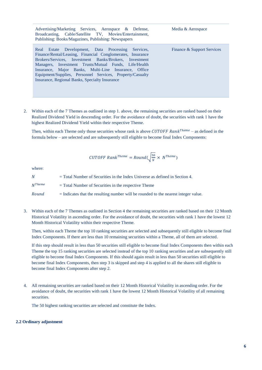| Advertising/Marketing Services, Aerospace & Defense,<br>Broadcasting, Cable/Satellite TV, Movies/Entertainment,<br>Publishing: Books/Magazines, Publishing: Newspapers                                                                                                                                                                                                                                     | Media & Aerospace          |
|------------------------------------------------------------------------------------------------------------------------------------------------------------------------------------------------------------------------------------------------------------------------------------------------------------------------------------------------------------------------------------------------------------|----------------------------|
| Real Estate Development, Data Processing Services,<br>Finance/Rental/Leasing, Financial Conglomerates, Insurance<br>Brokers/Services, Investment Banks/Brokers, Investment<br>Managers, Investment Trusts/Mutual Funds, Life/Health<br>Insurance, Major Banks, Multi-Line Insurance, Office<br>Equipment/Supplies, Personnel Services, Property/Casualty<br>Insurance, Regional Banks, Specialty Insurance | Finance & Support Services |

2. Within each of the 7 Themes as outlined in step 1. above, the remaining securities are ranked based on their Realized Dividend Yield in descending order. For the avoidance of doubt, the securities with rank 1 have the highest Realized Dividend Yield within their respective Theme.

Then, within each Theme only those securities whose rank is above CUTOFF Rank<sup>Theme</sup> – as defined in the formula below – are selected and are subsequently still eligible to become final Index Components:

$$
CUTOFF\ Rank^{Theme} = Round(\sqrt{\frac{50}{N}} \times N^{Theme})
$$

where:

 $N =$  Total Number of Securities in the Index Universe as defined in Section 4.  $N^{Thene}$  = Total Number of Securities in the respective Theme = Indicates that the resulting number will be rounded to the nearest integer value.

3. Within each of the 7 Themes as outlined in Section 4 the remaining securities are ranked based on their 12 Month Historical Volatility in ascending order. For the avoidance of doubt, the securities with rank 1 have the lowest 12 Month Historical Volatility within their respective Theme.

Then, within each Theme the top 10 ranking securities are selected and subsequently still eligible to become final Index Components. If there are less than 10 remaining securities within a Theme, all of them are selected.

If this step should result in less than 50 securities still eligible to become final Index Components then within each Theme the top 15 ranking securities are selected instead of the top 10 ranking securities and are subsequently still eligible to become final Index Components. If this should again result in less than 50 securities still eligible to become final Index Components, then step 3 is skipped and step 4 is applied to all the shares still eligible to become final Index Components after step 2.

4. All remaining securities are ranked based on their 12 Month Historical Volatility in ascending order. For the avoidance of doubt, the securities with rank 1 have the lowest 12 Month Historical Volatility of all remaining securities.

The 50 highest ranking securities are selected and constitute the Index.

### **2.2 Ordinary adjustment**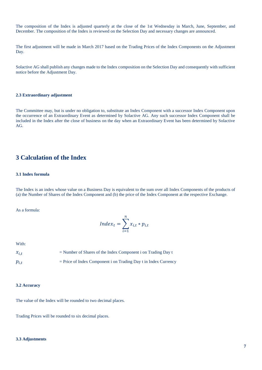The composition of the Index is adjusted quarterly at the close of the 1st Wednesday in March, June, September, and December. The composition of the Index is reviewed on the Selection Day and necessary changes are announced.

The first adjustment will be made in March 2017 based on the Trading Prices of the Index Components on the Adjustment Day.

Solactive AG shall publish any changes made to the Index composition on the Selection Day and consequently with sufficient notice before the Adjustment Day.

### **2.3 Extraordinary adjustment**

The Committee may, but is under no obligation to, substitute an Index Component with a successor Index Component upon the occurrence of an Extraordinary Event as determined by Solactive AG. Any such successor Index Component shall be included in the Index after the close of business on the day when an Extraordinary Event has been determined by Solactive AG.

### **3 Calculation of the Index**

### **3.1 Index formula**

The Index is an index whose value on a Business Day is equivalent to the sum over all Index Components of the products of (a) the Number of Shares of the Index Component and (b) the price of the Index Component at the respective Exchange.

As a formula:

$$
Index_t = \sum_{i=1}^{n} x_{i,t} * p_{i,t}
$$

With:

| $x_{i,t}$ | $=$ Number of Shares of the Index Component i on Trading Day t    |
|-----------|-------------------------------------------------------------------|
| $p_{i,t}$ | $=$ Price of Index Component i on Trading Day t in Index Currency |

### **3.2 Accuracy**

The value of the Index will be rounded to two decimal places.

Trading Prices will be rounded to six decimal places.

### **3.3 Adjustments**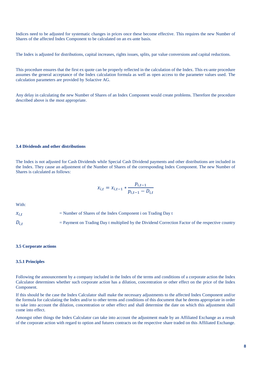Indices need to be adjusted for systematic changes in prices once these become effective. This requires the new Number of Shares of the affected Index Component to be calculated on an ex-ante basis.

The Index is adjusted for distributions, capital increases, rights issues, splits, par value conversions and capital reductions.

This procedure ensures that the first ex quote can be properly reflected in the calculation of the Index. This ex-ante procedure assumes the general acceptance of the Index calculation formula as well as open access to the parameter values used. The calculation parameters are provided by Solactive AG.

Any delay in calculating the new Number of Shares of an Index Component would create problems. Therefore the procedure described above is the most appropriate.

### **3.4 Dividends and other distributions**

The Index is not adjusted for Cash Dividends while Special Cash Dividend payments and other distributions are included in the Index. They cause an adjustment of the Number of Shares of the corresponding Index Component. The new Number of Shares is calculated as follows:

$$
x_{i,t} = x_{i,t-1} * \frac{p_{i,t-1}}{p_{i,t-1} - D_{i,t}}
$$

With:

 $x_{i,t}$  = Number of Shares of the Index Component i on Trading Day t  $D_{i,t}$  = Payment on Trading Day t multiplied by the Dividend Correction Factor of the respective country

#### **3.5 Corporate actions**

### **3.5.1 Principles**

Following the announcement by a company included in the Index of the terms and conditions of a corporate action the Index Calculator determines whether such corporate action has a dilution, concentration or other effect on the price of the Index Component.

If this should be the case the Index Calculator shall make the necessary adjustments to the affected Index Component and/or the formula for calculating the Index and/or to other terms and conditions of this document that he deems appropriate in order to take into account the dilution, concentration or other effect and shall determine the date on which this adjustment shall come into effect.

Amongst other things the Index Calculator can take into account the adjustment made by an Affiliated Exchange as a result of the corporate action with regard to option and futures contracts on the respective share traded on this Affiliated Exchange.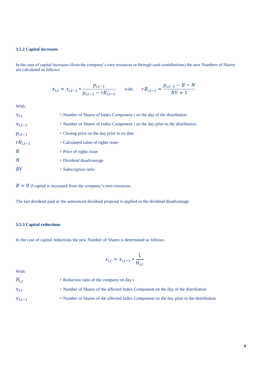### **3.5.2 Capital increases**

In the case of capital increases (from the company's own resources or through cash contributions) the new Numbers of Shares are calculated as follows:

$$
x_{i,t} = x_{i,t-1} * \frac{p_{i,t-1}}{p_{i,t-1} - rB_{i,t-1}} \quad \text{with:} \quad rB_{i,t-1} = \frac{p_{i,t-1} - B - N}{BV + 1}
$$

With:

| $x_{i,t}$      | $=$ Number of Shares of Index Component i on the day of the distribution       |
|----------------|--------------------------------------------------------------------------------|
| $x_{i,t-1}$    | $=$ Number of Shares of Index Component i on the day prior to the distribution |
| $p_{i,t-1}$    | $=$ Closing price on the day prior to ex date                                  |
| $rB_{i,t-1}$   | $=$ Calculated value of rights issue                                           |
| $\overline{B}$ | $=$ Price of rights issue                                                      |
| N              | $=$ Dividend disadvantage                                                      |
| BV             | $=$ Subscription ratio                                                         |

 $B = 0$  if capital is increased from the company's own resources.

The last dividend paid or the announced dividend proposal is applied as the dividend disadvantage.

### **3.5.3 Capital reductions**

In the case of capital reductions the new Number of Shares is determined as follows:

$$
x_{i,t} = x_{i,t-1} * \frac{1}{H_{i,t}}
$$

With:

| $H_{i,t}$   | $=$ Reduction ratio of the company on day t                                               |
|-------------|-------------------------------------------------------------------------------------------|
| $x_{i.t}$   | $=$ Number of Shares of the affected Index Component on the day of the distribution       |
| $x_{i,t-1}$ | $=$ Number of Shares of the affected Index Component on the day prior to the distribution |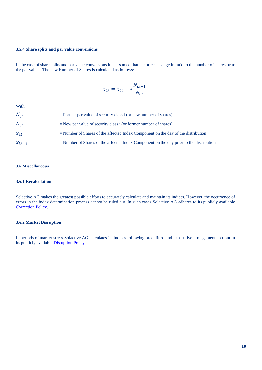### **3.5.4 Share splits and par value conversions**

In the case of share splits and par value conversions it is assumed that the prices change in ratio to the number of shares or to the par values. The new Number of Shares is calculated as follows:

$$
x_{i,t} = x_{i,t-1} * \frac{N_{i,t-1}}{N_{i,t}}
$$

With:

| $N_{i,t-1}$ | $=$ Former par value of security class i (or new number of shares)                        |
|-------------|-------------------------------------------------------------------------------------------|
| $N_{i.t.}$  | $=$ New par value of security class i (or former number of shares)                        |
| $x_{i,t}$   | $=$ Number of Shares of the affected Index Component on the day of the distribution       |
| $x_{i,t-1}$ | $=$ Number of Shares of the affected Index Component on the day prior to the distribution |

### **3.6 Miscellaneous**

### **3.6.1 Recalculation**

Solactive AG makes the greatest possible efforts to accurately calculate and maintain its indices. However, the occurrence of errors in the index determination process cannot be ruled out. In such cases Solactive AG adheres to its publicly available [Correction Policy.](http://www.solactive.com/news/documents/)

### **3.6.2 Market Disruption**

In periods of market stress Solactive AG calculates its indices following predefined and exhaustive arrangements set out in its publicly available [Disruption Policy.](http://www.solactive.com/news/documents/)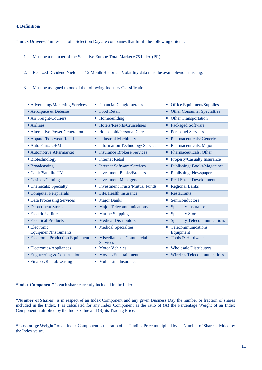### **4. Definitions**

**"Index Universe"** in respect of a Selection Day are companies that fulfill the following criteria:

- 1. Must be a member of the Solactive Europe Total Market 675 Index (PR).
- 2. Realized Dividend Yield and 12 Month Historical Volatility data must be available/non-missing.
- 3. Must be assigned to one of the following Industry Classifications:

| ■ Advertising/Marketing Services                   | <b>Financial Conglomerates</b>              | <b>Office Equipment/Supplies</b><br>ш    |
|----------------------------------------------------|---------------------------------------------|------------------------------------------|
| Aerospace & Defense                                | • Food Retail                               | <b>Other Consumer Specialties</b><br>٠   |
| Air Freight/Couriers                               | • Homebuilding                              | <b>Other Transportation</b><br>ш         |
| $\blacksquare$ Airlines                            | <b>Hotels/Resorts/Cruiselines</b>           | • Packaged Software                      |
| • Alternative Power Generation                     | ■ Household/Personal Care                   | • Personnel Services                     |
| <b>Apparel/Footwear Retail</b>                     | <b>Industrial Machinery</b>                 | • Pharmaceuticals: Generic               |
| Auto Parts: OEM                                    | • Information Technology Services           | • Pharmaceuticals: Major                 |
| <b>Automotive Aftermarket</b>                      | <b>Insurance Brokers/Services</b>           | <b>Pharmaceuticals: Other</b>            |
| • Biotechnology                                    | <b>Internet Retail</b><br>ш                 | Property/Casualty Insurance<br>a.        |
| <b>Broadcasting</b>                                | • Internet Software/Services                | Publishing: Books/Magazines<br>٠         |
| • Cable/Satellite TV                               | <b>Investment Banks/Brokers</b>             | • Publishing: Newspapers                 |
| ■ Casinos/Gaming                                   | • Investment Managers                       | • Real Estate Development                |
| • Chemicals: Specialty                             | • Investment Trusts/Mutual Funds            | • Regional Banks                         |
| Computer Peripherals                               | • Life/Health Insurance                     | Restaurants<br>٠                         |
| • Data Processing Services                         | <b>Major Banks</b>                          | Semiconductors<br>ш                      |
| <b>• Department Stores</b>                         | <b>Major Telecommunications</b><br>٠        | <b>Specialty Insurance</b><br>٠          |
| <b>Electric Utilities</b>                          | <b>Marine Shipping</b>                      | • Specialty Stores                       |
| <b>Electrical Products</b>                         | • Medical Distributors                      | <b>Specialty Telecommunications</b><br>٠ |
| $\blacksquare$ Electronic<br>Equipment/Instruments | <b>Medical Specialties</b><br>ш             | Telecommunications<br>ш<br>Equipment     |
| <b>Electronic Production Equipment</b>             | Miscellaneous Commercial<br><b>Services</b> | Tools & Hardware                         |
| <b>Electronics/Appliances</b>                      | <b>Motor Vehicles</b>                       | • Wholesale Distributors                 |
| $\blacksquare$ Engineering & Construction          | Movies/Entertainment                        | • Wireless Telecommunications            |
| ■ Finance/Rental/Leasing                           | • Multi-Line Insurance                      |                                          |

**"Index Component"** is each share currently included in the Index.

**"Number of Shares"** is in respect of an Index Component and any given Business Day the number or fraction of shares included in the Index. It is calculated for any Index Component as the ratio of (A) the Percentage Weight of an Index Component multiplied by the Index value and (B) its Trading Price.

**"Percentage Weight"** of an Index Component is the ratio of its Trading Price multiplied by its Number of Shares divided by the Index value.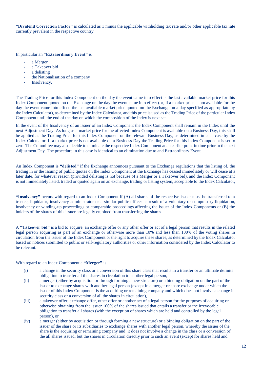**"Dividend Correction Factor"** is calculated as 1 minus the applicable withholding tax rate and/or other applicable tax rate currently prevalent in the respective country.

In particular an **"Extraordinary Event"** is

- a Merger
- a Takeover bid
- a delisting
- the Nationalisation of a company
- Insolvency.

The Trading Price for this Index Component on the day the event came into effect is the last available market price for this Index Component quoted on the Exchange on the day the event came into effect (or, if a market price is not available for the day the event came into effect, the last available market price quoted on the Exchange on a day specified as appropriate by the Index Calculator), as determined by the Index Calculator, and this price is used as the Trading Price of the particular Index Component until the end of the day on which the composition of the Index is next set.

In the event of the Insolvency of an issuer of an Index Component the Index Component shall remain in the Index until the next Adjustment Day. As long as a market price for the affected Index Component is available on a Business Day, this shall be applied as the Trading Price for this Index Component on the relevant Business Day, as determined in each case by the Index Calculator. If a market price is not available on a Business Day the Trading Price for this Index Component is set to zero. The Committee may also decide to eliminate the respective Index Component at an earlier point in time prior to the next Adjustment Day. The procedure in this case is identical to an elimination due to and Extraordinary Event.

An Index Component is **"delisted"** if the Exchange announces pursuant to the Exchange regulations that the listing of, the trading in or the issuing of public quotes on the Index Component at the Exchange has ceased immediately or will cease at a later date, for whatever reason (provided delisting is not because of a Merger or a Takeover bid), and the Index Component is not immediately listed, traded or quoted again on an exchange, trading or listing system, acceptable to the Index Calculator,

**"Insolvency"** occurs with regard to an Index Component if (A) all shares of the respective issuer must be transferred to a trustee, liquidator, insolvency administrator or a similar public officer as result of a voluntary or compulsory liquidation, insolvency or winding-up proceedings or comparable proceedings affecting the issuer of the Index Components or (B) the holders of the shares of this issuer are legally enjoined from transferring the shares.

A **"Takeover bid"** is a bid to acquire, an exchange offer or any other offer or act of a legal person that results in the related legal person acquiring as part of an exchange or otherwise more than 10% and less than 100% of the voting shares in circulation from the issuer of the Index Component or the right to acquire these shares, as determined by the Index Calculator based on notices submitted to public or self-regulatory authorities or other information considered by the Index Calculator to be relevant.

### With regard to an Index Component a **"Merger"** is

- (i) a change in the security class or a conversion of this share class that results in a transfer or an ultimate definite obligation to transfer all the shares in circulation to another legal person,
- (ii) a merger (either by acquisition or through forming a new structure) or a binding obligation on the part of the issuer to exchange shares with another legal person (except in a merger or share exchange under which the issuer of this Index Component is the acquiring or remaining company and which does not involve a change in security class or a conversion of all the shares in circulation),
- (iii) a takeover offer, exchange offer, other offer or another act of a legal person for the purposes of acquiring or otherwise obtaining from the issuer 100% of the shares issued that entails a transfer or the irrevocable obligation to transfer all shares (with the exception of shares which are held and controlled by the legal person), or
- (iv) a merger (either by acquisition or through forming a new structure) or a binding obligation on the part of the issuer of the share or its subsidiaries to exchange shares with another legal person, whereby the issuer of the share is the acquiring or remaining company and it does not involve a change in the class or a conversion of the all shares issued, but the shares in circulation directly prior to such an event (except for shares held and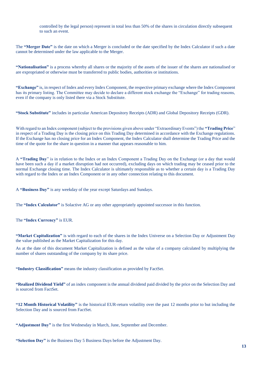controlled by the legal person) represent in total less than 50% of the shares in circulation directly subsequent to such an event.

The **"Merger Date"** is the date on which a Merger is concluded or the date specified by the Index Calculator if such a date cannot be determined under the law applicable to the Merger.

**"Nationalisation"** is a process whereby all shares or the majority of the assets of the issuer of the shares are nationalised or are expropriated or otherwise must be transferred to public bodies, authorities or institutions.

**"Exchange"** is, in respect of Index and every Index Component, the respective primary exchange where the Index Component has its primary listing. The Committee may decide to declare a different stock exchange the "Exchange" for trading reasons, even if the company is only listed there via a Stock Substitute.

**"Stock Substitute"** includes in particular American Depository Receipts (ADR) and Global Depository Receipts (GDR).

With regard to an Index component (subject to the provisions given above under "Extraordinary Events") the **"Trading Price**" in respect of a Trading Day is the closing price on this Trading Day determined in accordance with the Exchange regulations. If the Exchange has no closing price for an Index Component, the Index Calculator shall determine the Trading Price and the time of the quote for the share in question in a manner that appears reasonable to him.

A **"Trading Day**" is in relation to the Index or an Index Component a Trading Day on the Exchange (or a day that would have been such a day if a market disruption had not occurred), excluding days on which trading may be ceased prior to the normal Exchange closing time. The Index Calculator is ultimately responsible as to whether a certain day is a Trading Day with regard to the Index or an Index Component or in any other connection relating to this document.

A **"Business Day"** is any weekday of the year except Saturdays and Sundays.

The **"Index Calculator"** is Solactive AG or any other appropriately appointed successor in this function.

The **"Index Currency"** is EUR.

**"Market Capitalization"** is with regard to each of the shares in the Index Universe on a Selection Day or Adjustment Day the value published as the Market Capitalization for this day.

As at the date of this document Market Capitalization is defined as the value of a company calculated by multiplying the number of shares outstanding of the company by its share price.

**"Industry Classification"** means the industry classification as provided by FactSet.

**"Realized Dividend Yield"** of an index component is the annual dividend paid divided by the price on the Selection Day and is sourced from FactSet.

**"12 Month Historical Volatility"** is the historical EUR-return volatility over the past 12 months prior to but including the Selection Day and is sourced from FactSet.

**"Adjustment Day"** is the first Wednesday in March, June, September and December.

**"Selection Day"** is the Business Day 5 Business Days before the Adjustment Day.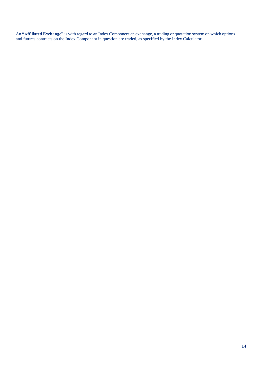An **"Affiliated Exchange"** is with regard to an Index Component an exchange, a trading or quotation system on which options and futures contracts on the Index Component in question are traded, as specified by the Index Calculator.